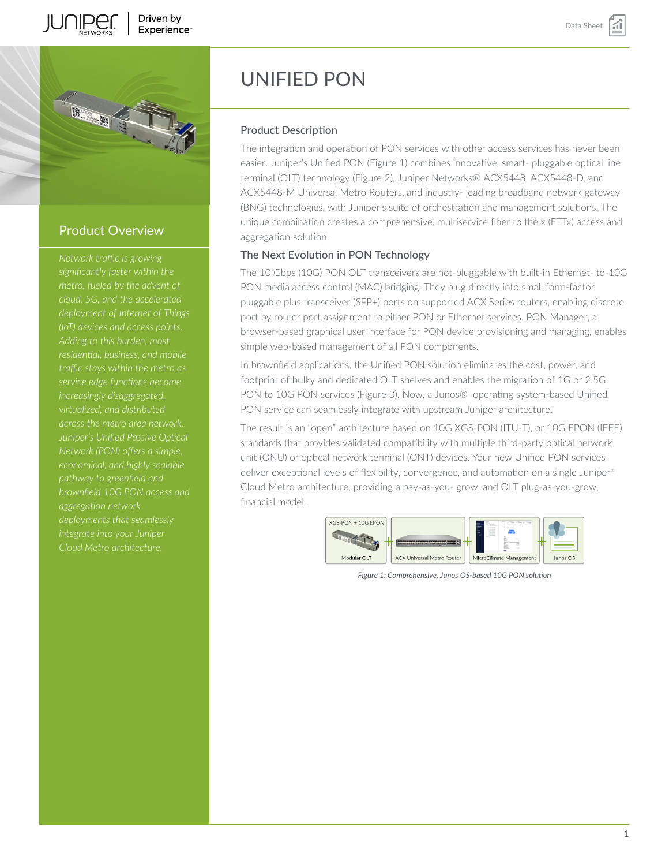





# Product Overview

*significantly faster within the metro, fueled by the advent of cloud, 5G, and the accelerated (IoT) devices and access points. Adding to this burden, most residential, business, and mobile increasingly disaggregated, virtualized, and distributed across the metro area network. Juniper's Unified Passive Optical Network (PON) offers a simple, economical, and highly scalable pathway to greenfield and brownfield 10G PON access and aggregation network integrate into your Juniper*

# UNIFIED PON

### Product Description

The integration and operation of PON services with other access services has never been easier. Juniper's Unified PON (Figure 1) combines innovative, smart- pluggable optical line terminal (OLT) technology (Figure 2), Juniper Networks® ACX5448, ACX5448-D, and ACX5448-M Universal Metro Routers, and industry- leading broadband network gateway (BNG) technologies, with Juniper's suite of orchestration and management solutions. The unique combination creates a comprehensive, multiservice fiber to the x (FTTx) access and aggregation solution.

## The Next Evolution in PON Technology

The 10 Gbps (10G) PON OLT transceivers are hot-pluggable with built-in Ethernet- to-10G PON media access control (MAC) bridging. They plug directly into small form-factor pluggable plus transceiver (SFP+) ports on supported ACX Series routers, enabling discrete port by router port assignment to either PON or Ethernet services. PON Manager, a browser-based graphical user interface for PON device provisioning and managing, enables simple web-based management of all PON components.

In brownfield applications, the Unified PON solution eliminates the cost, power, and footprint of bulky and dedicated OLT shelves and enables the migration of 1G or 2.5G PON to 10G PON services (Figure 3). Now, a Junos® operating system-based Unified PON service can seamlessly integrate with upstream Juniper architecture.

The result is an "open" architecture based on 10G XGS-PON (ITU-T), or 10G EPON (IEEE) standards that provides validated compatibility with multiple third-party optical network unit (ONU) or optical network terminal (ONT) devices. Your new Unified PON services deliver exceptional levels of flexibility, convergence, and automation on a single Juniper® Cloud Metro architecture, providing a pay-as-you- grow, and OLT plug-as-you-grow, financial model.



*Figure 1: Comprehensive, Junos OS-based 10G PON solution*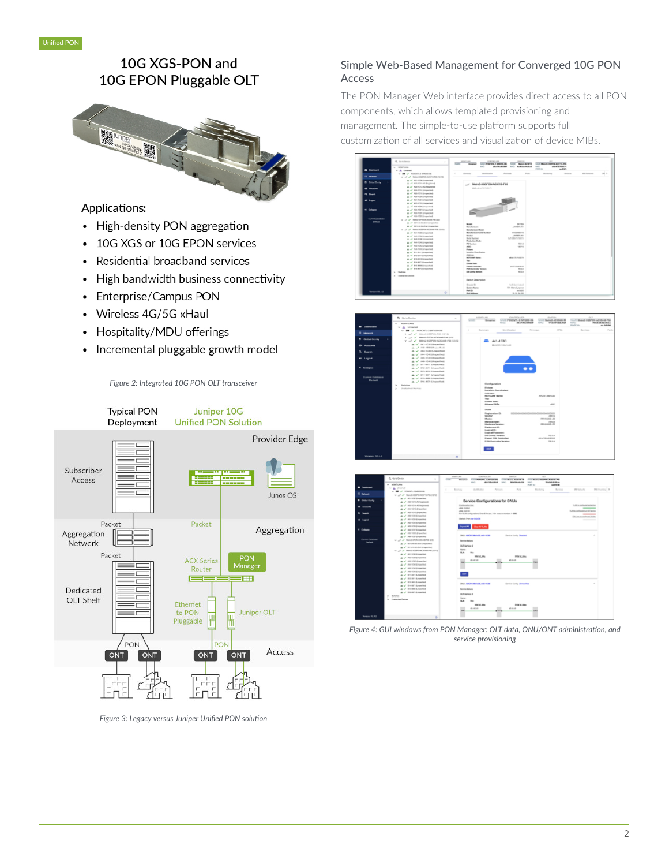# 10G XGS-PON and 10G EPON Pluggable OLT



# Applications:

- High-density PON aggregation
- 10G XGS or 10G EPON services  $\bullet$
- Residential broadband services  $\bullet$
- High bandwidth business connectivity
- Enterprise/Campus PON  $\bullet$
- Wireless 4G/5G xHaul
- Hospitality/MDU offerings  $\bullet$
- Incremental pluggable growth model



*Figure 2: Integrated 10G PON OLT transceiver*

*Figure 3: Legacy versus Juniper Unified PON solution*

# Simple Web-Based Management for Converged 10G PON Access

The PON Manager Web interface provides direct access to all PON components, which allows templated provisioning and management. The simple-to-use platform supports full customization of all services and visualization of device MIBs.







*Figure 4: GUI windows from PON Manager: OLT data, ONU/ONT administration, and service provisioning*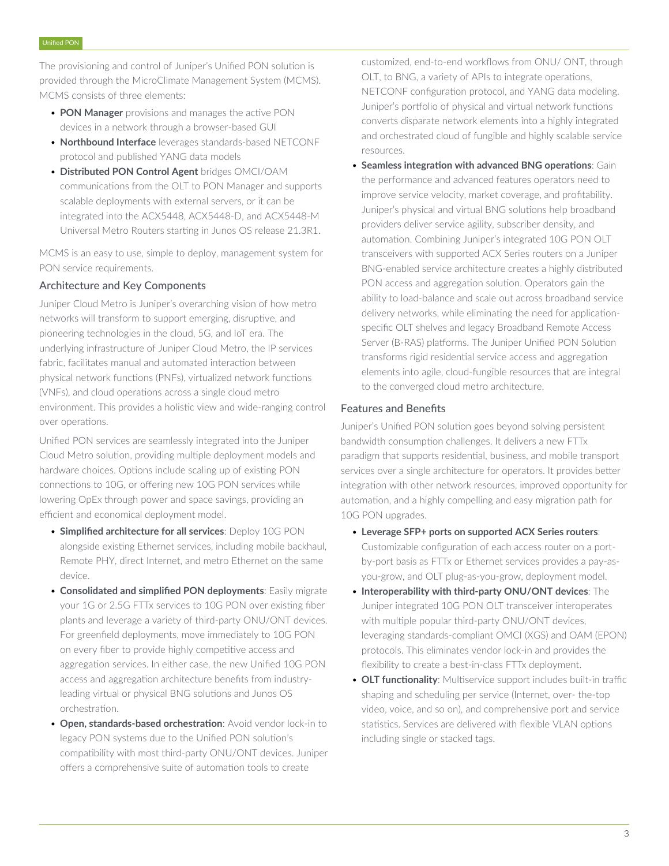The provisioning and control of Juniper's Unified PON solution is provided through the MicroClimate Management System (MCMS). MCMS consists of three elements:

- **PON Manager** provisions and manages the active PON devices in a network through a browser-based GUI
- **Northbound Interface** leverages standards-based NETCONF protocol and published YANG data models
- **Distributed PON Control Agent** bridges OMCI/OAM communications from the OLT to PON Manager and supports scalable deployments with external servers, or it can be integrated into the ACX5448, ACX5448-D, and ACX5448-M Universal Metro Routers starting in Junos OS release 21.3R1.

MCMS is an easy to use, simple to deploy, management system for PON service requirements.

## Architecture and Key Components

Juniper Cloud Metro is Juniper's overarching vision of how metro networks will transform to support emerging, disruptive, and pioneering technologies in the cloud, 5G, and IoT era. The underlying infrastructure of Juniper Cloud Metro, the IP services fabric, facilitates manual and automated interaction between physical network functions (PNFs), virtualized network functions (VNFs), and cloud operations across a single cloud metro environment. This provides a holistic view and wide-ranging control over operations.

Unified PON services are seamlessly integrated into the Juniper Cloud Metro solution, providing multiple deployment models and hardware choices. Options include scaling up of existing PON connections to 10G, or offering new 10G PON services while lowering OpEx through power and space savings, providing an efficient and economical deployment model.

- **Simplified architecture for all services**: Deploy 10G PON alongside existing Ethernet services, including mobile backhaul, Remote PHY, direct Internet, and metro Ethernet on the same device.
- **Consolidated and simplified PON deployments**: Easily migrate your 1G or 2.5G FTTx services to 10G PON over existing fiber plants and leverage a variety of third-party ONU/ONT devices. For greenfield deployments, move immediately to 10G PON on every fiber to provide highly competitive access and aggregation services. In either case, the new Unified 10G PON access and aggregation architecture benefits from industryleading virtual or physical BNG solutions and Junos OS orchestration.
- **Open, standards-based orchestration**: Avoid vendor lock-in to legacy PON systems due to the Unified PON solution's compatibility with most third-party ONU/ONT devices. Juniper offers a comprehensive suite of automation tools to create

customized, end-to-end workflows from ONU/ ONT, through OLT, to BNG, a variety of APIs to integrate operations, NETCONF configuration protocol, and YANG data modeling. Juniper's portfolio of physical and virtual network functions converts disparate network elements into a highly integrated and orchestrated cloud of fungible and highly scalable service resources.

• **Seamless integration with advanced BNG operations**: Gain the performance and advanced features operators need to improve service velocity, market coverage, and profitability. Juniper's physical and virtual BNG solutions help broadband providers deliver service agility, subscriber density, and automation. Combining Juniper's integrated 10G PON OLT transceivers with supported ACX Series routers on a Juniper BNG-enabled service architecture creates a highly distributed PON access and aggregation solution. Operators gain the ability to load-balance and scale out across broadband service delivery networks, while eliminating the need for applicationspecific OLT shelves and legacy Broadband Remote Access Server (B-RAS) platforms. The Juniper Unified PON Solution transforms rigid residential service access and aggregation elements into agile, cloud-fungible resources that are integral to the converged cloud metro architecture.

#### Features and Benefits

Juniper's Unified PON solution goes beyond solving persistent bandwidth consumption challenges. It delivers a new FTTx paradigm that supports residential, business, and mobile transport services over a single architecture for operators. It provides better integration with other network resources, improved opportunity for automation, and a highly compelling and easy migration path for 10G PON upgrades.

- **Leverage SFP+ ports on supported ACX Series routers**: Customizable configuration of each access router on a portby-port basis as FTTx or Ethernet services provides a pay-asyou-grow, and OLT plug-as-you-grow, deployment model.
- **Interoperability with third-party ONU/ONT devices**: The Juniper integrated 10G PON OLT transceiver interoperates with multiple popular third-party ONU/ONT devices, leveraging standards-compliant OMCI (XGS) and OAM (EPON) protocols. This eliminates vendor lock-in and provides the flexibility to create a best-in-class FTTx deployment.
- **OLT functionality**: Multiservice support includes built-in traffic shaping and scheduling per service (Internet, over- the-top video, voice, and so on), and comprehensive port and service statistics. Services are delivered with flexible VLAN options including single or stacked tags.